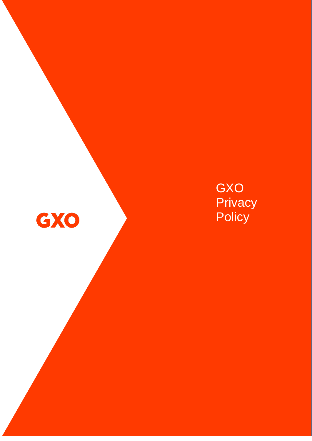

# GXO **Privacy Policy**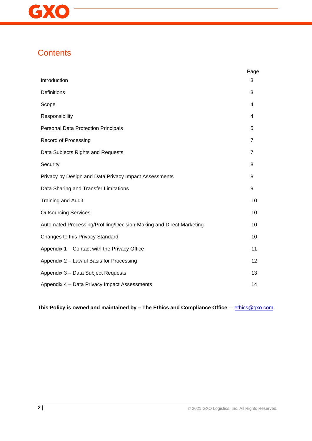

# **Contents**

|                                                                     | Page           |
|---------------------------------------------------------------------|----------------|
| Introduction                                                        | 3              |
| Definitions                                                         | 3              |
| Scope                                                               | 4              |
| Responsibility                                                      | 4              |
| Personal Data Protection Principals                                 | 5              |
| <b>Record of Processing</b>                                         | $\overline{7}$ |
| Data Subjects Rights and Requests                                   | $\overline{7}$ |
| Security                                                            | 8              |
| Privacy by Design and Data Privacy Impact Assessments               | 8              |
| Data Sharing and Transfer Limitations                               | 9              |
| <b>Training and Audit</b>                                           | 10             |
| <b>Outsourcing Services</b>                                         | 10             |
| Automated Processing/Profiling/Decision-Making and Direct Marketing | 10             |
| Changes to this Privacy Standard                                    | 10             |
| Appendix 1 - Contact with the Privacy Office                        | 11             |
| Appendix 2 - Lawful Basis for Processing                            | 12             |
| Appendix 3 - Data Subject Requests                                  | 13             |
| Appendix 4 - Data Privacy Impact Assessments                        | 14             |

**This Policy is owned and maintained by – The Ethics and Compliance Office** – [ethics@gxo.com](mailto:ethics@gxo.com)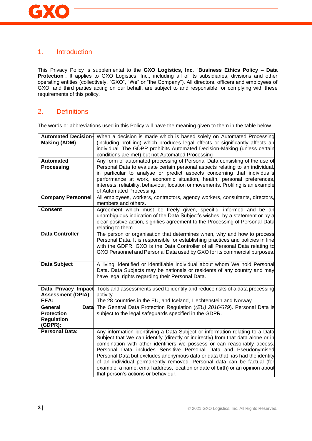# 1. Introduction

This Privacy Policy is supplemental to the **GXO Logistics, Inc**. "**Business Ethics Policy – Data**  Protection<sup>"</sup>. It applies to GXO Logistics, Inc., including all of its subsidiaries, divisions and other operating entities (collectively, "GXO", "We" or "the Company"). All directors, officers and employees of GXO, and third parties acting on our behalf, are subject to and responsible for complying with these requirements of this policy.

# 2. Definitions

The words or abbreviations used in this Policy will have the meaning given to them in the table below.

| <b>Automated Decision-</b>   | When a decision is made which is based solely on Automated Processing             |  |  |  |
|------------------------------|-----------------------------------------------------------------------------------|--|--|--|
| <b>Making (ADM)</b>          | (including profiling) which produces legal effects or significantly affects an    |  |  |  |
|                              | individual. The GDPR prohibits Automated Decision-Making (unless certain          |  |  |  |
|                              | conditions are met) but not Automated Processing                                  |  |  |  |
| <b>Automated</b>             | Any form of automated processing of Personal Data consisting of the use of        |  |  |  |
| <b>Processing</b>            | Personal Data to evaluate certain personal aspects relating to an individual,     |  |  |  |
|                              | in particular to analyse or predict aspects concerning that individual's          |  |  |  |
|                              | performance at work, economic situation, health, personal preferences,            |  |  |  |
|                              | interests, reliability, behaviour, location or movements. Profiling is an example |  |  |  |
|                              | of Automated Processing.                                                          |  |  |  |
| <b>Company Personnel</b>     | All employees, workers, contractors, agency workers, consultants, directors,      |  |  |  |
|                              | members and others.                                                               |  |  |  |
| <b>Consent</b>               | Agreement which must be freely given, specific, informed and be an                |  |  |  |
|                              | unambiguous indication of the Data Subject's wishes, by a statement or by a       |  |  |  |
|                              | clear positive action, signifies agreement to the Processing of Personal Data     |  |  |  |
|                              | relating to them.                                                                 |  |  |  |
| <b>Data Controller</b>       | The person or organisation that determines when, why and how to process           |  |  |  |
|                              | Personal Data. It is responsible for establishing practices and policies in line  |  |  |  |
|                              | with the GDPR. GXO is the Data Controller of all Personal Data relating to        |  |  |  |
|                              | GXO Personnel and Personal Data used by GXO for its commercial purposes.          |  |  |  |
| <b>Data Subject</b>          | A living, identified or identifiable individual about whom We hold Personal       |  |  |  |
|                              | Data. Data Subjects may be nationals or residents of any country and may          |  |  |  |
|                              | have legal rights regarding their Personal Data.                                  |  |  |  |
|                              |                                                                                   |  |  |  |
| Data Privacy Impact          | Tools and assessments used to identify and reduce risks of a data processing      |  |  |  |
| <b>Assessment (DPIA)</b>     | activity.                                                                         |  |  |  |
| EEA:                         | The 28 countries in the EU, and Iceland, Liechtenstein and Norway                 |  |  |  |
| General<br><b>Data</b>       | The General Data Protection Regulation ((EU) 2016/679). Personal Data is          |  |  |  |
| <b>Protection</b>            | subject to the legal safeguards specified in the GDPR.                            |  |  |  |
| <b>Regulation</b><br>(GDPR): |                                                                                   |  |  |  |
| <b>Personal Data:</b>        | Any information identifying a Data Subject or information relating to a Data      |  |  |  |
|                              | Subject that We can identify (directly or indirectly) from that data alone or in  |  |  |  |
|                              | combination with other identifiers we possess or can reasonably access.           |  |  |  |
|                              | Personal Data includes Sensitive Personal Data and Pseudonymised                  |  |  |  |
|                              | Personal Data but excludes anonymous data or data that has had the identity       |  |  |  |
|                              | of an individual permanently removed. Personal data can be factual (for           |  |  |  |
|                              | example, a name, email address, location or date of birth) or an opinion about    |  |  |  |
|                              | that person's actions or behaviour.                                               |  |  |  |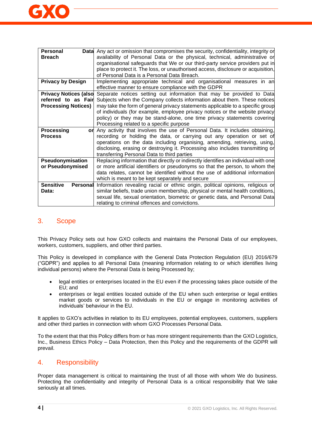

| <b>Personal</b><br>Datal            | Any act or omission that compromises the security, confidentiality, integrity or    |  |  |
|-------------------------------------|-------------------------------------------------------------------------------------|--|--|
| <b>Breach</b>                       | availability of Personal Data or the physical, technical, administrative or         |  |  |
|                                     | organisational safeguards that We or our third-party service providers put in       |  |  |
|                                     | place to protect it. The loss, or unauthorised access, disclosure or acquisition,   |  |  |
|                                     | of Personal Data is a Personal Data Breach.                                         |  |  |
| <b>Privacy by Design</b>            | Implementing appropriate technical and organisational measures in an                |  |  |
|                                     | effective manner to ensure compliance with the GDPR                                 |  |  |
| <b>Privacy Notices (also</b>        | Separate notices setting out information that may be provided to Data               |  |  |
| referred to as Fairl                | Subjects when the Company collects information about them. These notices            |  |  |
| <b>Processing Notices)</b>          | may take the form of general privacy statements applicable to a specific group      |  |  |
|                                     | of individuals (for example, employee privacy notices or the website privacy        |  |  |
|                                     | policy) or they may be stand-alone, one time privacy statements covering            |  |  |
|                                     | Processing related to a specific purpose                                            |  |  |
| <b>Processing</b><br>orl            | Any activity that involves the use of Personal Data. It includes obtaining,         |  |  |
| <b>Process</b>                      | recording or holding the data, or carrying out any operation or set of              |  |  |
|                                     | operations on the data including organising, amending, retrieving, using,           |  |  |
|                                     | disclosing, erasing or destroying it. Processing also includes transmitting or      |  |  |
|                                     | transferring Personal Data to third parties                                         |  |  |
| Pseudonymisation                    | Replacing information that directly or indirectly identifies an individual with one |  |  |
| or Pseudonymised                    | or more artificial identifiers or pseudonyms so that the person, to whom the        |  |  |
|                                     | data relates, cannot be identified without the use of additional information        |  |  |
|                                     | which is meant to be kept separately and secure                                     |  |  |
| <b>Sensitive</b><br><b>Personal</b> | Information revealing racial or ethnic origin, political opinions, religious or     |  |  |
| Data:                               | similar beliefs, trade union membership, physical or mental health conditions,      |  |  |
|                                     | sexual life, sexual orientation, biometric or genetic data, and Personal Data       |  |  |
|                                     | relating to criminal offences and convictions.                                      |  |  |

### 3. Scope

This Privacy Policy sets out how GXO collects and maintains the Personal Data of our employees, workers, customers, suppliers, and other third parties.

This Policy is developed in compliance with the General Data Protection Regulation (EU) 2016/679 ("GDPR") and applies to all Personal Data (meaning information relating to or which identifies living individual persons) where the Personal Data is being Processed by;

- legal entities or enterprises located in the EU even if the processing takes place outside of the EU; and
- enterprises or legal entities located outside of the EU when such enterprise or legal entities market goods or services to individuals in the EU or engage in monitoring activities of individuals' behaviour in the EU.

It applies to GXO's activities in relation to its EU employees, potential employees, customers, suppliers and other third parties in connection with whom GXO Processes Personal Data.

To the extent that that this Policy differs from or has more stringent requirements than the GXO Logistics, Inc., Business Ethics Policy – Data Protection, then this Policy and the requirements of the GDPR will prevail.

### 4. Responsibility

Proper data management is critical to maintaining the trust of all those with whom We do business. Protecting the confidentiality and integrity of Personal Data is a critical responsibility that We take seriously at all times.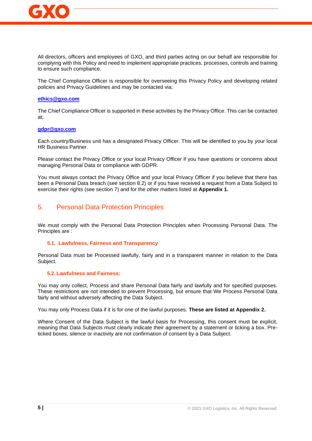

All directors, officers and employees of GXO, and third parties acting on our behalf are responsible for complying with this Policy and need to implement appropriate practices, processes, controls and training to ensure such compliance.

The Chief Compliance Officer is responsible for overseeing this Privacy Policy and developing related policies and Privacy Guidelines and may be contacted via;

#### **[ethics@gxo.com](mailto:ethics@gxo.com)**

The Chief Compliance Officer is supported in these activities by the Privacy Office. This can be contacted at;

#### **[gdpr@gxo.com](mailto:gdpr@gxo.com)**

Each country/Business unit has a designated Privacy Officer. This will be identified to you by your local HR Business Partner.

Please contact the Privacy Office or your local Privacy Officer if you have questions or concerns about managing Personal Data or compliance with GDPR.

You must always contact the Privacy Office and your local Privacy Officer if you believe that there has been a Personal Data breach (see section 8.2) or if you have received a request from a Data Subject to exercise their rights (see section 7) and for the other matters listed at **Appendix 1.**

# 5. Personal Data Protection Principles

We must comply with the Personal Data Protection Principles when Processing Personal Data. The Principles are :

#### **5.1. Lawfulness, Fairness and Transparency**

Personal Data must be Processed lawfully, fairly and in a transparent manner in relation to the Data Subject.

#### **5.2. Lawfulness and Fairness:**

You may only collect, Process and share Personal Data fairly and lawfully and for specified purposes. These restrictions are not intended to prevent Processing, but ensure that We Process Personal Data fairly and without adversely affecting the Data Subject.

You may only Process Data if it is for one of the lawful purposes. **These are listed at Appendix 2.**

Where Consent of the Data Subject is the lawful basis for Processing, this consent must be explicit, meaning that Data Subjects must clearly indicate their agreement by a statement or ticking a box. Preticked boxes, silence or inactivity are not confirmation of consent by a Data Subject.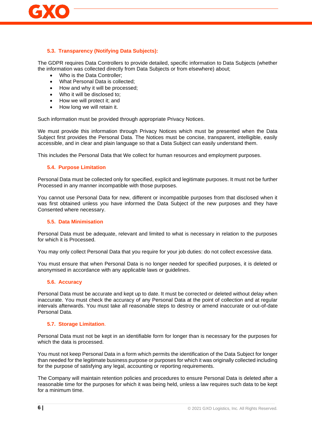

#### **5.3. Transparency (Notifying Data Subjects):**

The GDPR requires Data Controllers to provide detailed, specific information to Data Subjects (whether the information was collected directly from Data Subjects or from elsewhere) about;

- Who is the Data Controller;
- What Personal Data is collected;
- How and why it will be processed;
- Who it will be disclosed to;
- How we will protect it; and
- How long we will retain it.

Such information must be provided through appropriate Privacy Notices.

We must provide this information through Privacy Notices which must be presented when the Data Subject first provides the Personal Data. The Notices must be concise, transparent, intelligible, easily accessible, and in clear and plain language so that a Data Subject can easily understand them.

This includes the Personal Data that We collect for human resources and employment purposes.

#### **5.4. Purpose Limitation**

Personal Data must be collected only for specified, explicit and legitimate purposes. It must not be further Processed in any manner incompatible with those purposes.

You cannot use Personal Data for new, different or incompatible purposes from that disclosed when it was first obtained unless you have informed the Data Subject of the new purposes and they have Consented where necessary.

#### **5.5. Data Minimisation**

Personal Data must be adequate, relevant and limited to what is necessary in relation to the purposes for which it is Processed.

You may only collect Personal Data that you require for your job duties: do not collect excessive data.

You must ensure that when Personal Data is no longer needed for specified purposes, it is deleted or anonymised in accordance with any applicable laws or guidelines.

#### **5.6. Accuracy**

Personal Data must be accurate and kept up to date. It must be corrected or deleted without delay when inaccurate. You must check the accuracy of any Personal Data at the point of collection and at regular intervals afterwards. You must take all reasonable steps to destroy or amend inaccurate or out-of-date Personal Data.

#### **5.7. Storage Limitation**.

Personal Data must not be kept in an identifiable form for longer than is necessary for the purposes for which the data is processed.

You must not keep Personal Data in a form which permits the identification of the Data Subject for longer than needed for the legitimate business purpose or purposes for which it was originally collected including for the purpose of satisfying any legal, accounting or reporting requirements.

The Company will maintain retention policies and procedures to ensure Personal Data is deleted after a reasonable time for the purposes for which it was being held, unless a law requires such data to be kept for a minimum time.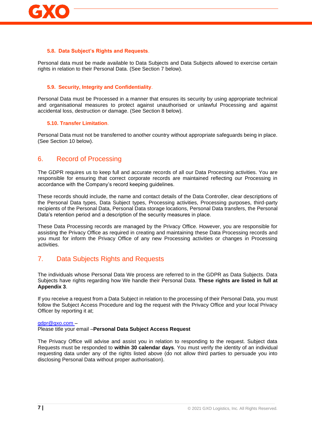

#### **5.8. Data Subject's Rights and Requests**.

Personal data must be made available to Data Subjects and Data Subjects allowed to exercise certain rights in relation to their Personal Data. (See Section 7 below).

#### **5.9. Security, Integrity and Confidentiality**.

Personal Data must be Processed in a manner that ensures its security by using appropriate technical and organisational measures to protect against unauthorised or unlawful Processing and against accidental loss, destruction or damage. (See Section 8 below).

#### **5.10. Transfer Limitation**.

Personal Data must not be transferred to another country without appropriate safeguards being in place. (See Section 10 below).

#### 6. Record of Processing

The GDPR requires us to keep full and accurate records of all our Data Processing activities. You are responsible for ensuring that correct corporate records are maintained reflecting our Processing in accordance with the Company's record keeping guidelines.

These records should include, the name and contact details of the Data Controller, clear descriptions of the Personal Data types, Data Subject types, Processing activities, Processing purposes, third-party recipients of the Personal Data, Personal Data storage locations, Personal Data transfers, the Personal Data's retention period and a description of the security measures in place.

These Data Processing records are managed by the Privacy Office. However, you are responsible for assisting the Privacy Office as required in creating and maintaining these Data Processing records and you must for inform the Privacy Office of any new Processing activities or changes in Processing activities.

### 7. Data Subjects Rights and Requests

The individuals whose Personal Data We process are referred to in the GDPR as Data Subjects. Data Subjects have rights regarding how We handle their Personal Data. **These rights are listed in full at Appendix 3**.

If you receive a request from a Data Subject in relation to the processing of their Personal Data, you must follow the Subject Access Procedure and log the request with the Privacy Office and your local Privacy Officer by reporting it at;

#### [gdpr@gxo.com –](mailto:gdpr@gxo.com)

Please title your email –**Personal Data Subject Access Request**

The Privacy Office will advise and assist you in relation to responding to the request. Subject data Requests must be responded to **within 30 calendar days**. You must verify the identity of an individual requesting data under any of the rights listed above (do not allow third parties to persuade you into disclosing Personal Data without proper authorisation).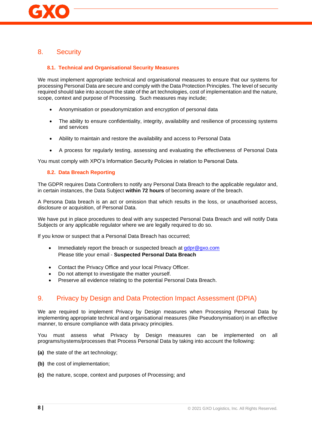# 8. Security

#### **8.1. Technical and Organisational Security Measures**

We must implement appropriate technical and organisational measures to ensure that our systems for processing Personal Data are secure and comply with the Data Protection Principles. The level of security required should take into account the state of the art technologies, cost of implementation and the nature, scope, context and purpose of Processing. Such measures may include;

- Anonymisation or pseudonymization and encryption of personal data
- The ability to ensure confidentiality, integrity, availability and resilience of processing systems and services
- Ability to maintain and restore the availability and access to Personal Data
- A process for regularly testing, assessing and evaluating the effectiveness of Personal Data

You must comply with XPO's Information Security Policies in relation to Personal Data.

#### **8.2. Data Breach Reporting**

The GDPR requires Data Controllers to notify any Personal Data Breach to the applicable regulator and, in certain instances, the Data Subject **within 72 hours** of becoming aware of the breach.

A Persona Data breach is an act or omission that which results in the loss, or unauthorised access, disclosure or acquisition, of Personal Data.

We have put in place procedures to deal with any suspected Personal Data Breach and will notify Data Subjects or any applicable regulator where we are legally required to do so.

If you know or suspect that a Personal Data Breach has occurred;

- Immediately report the breach or suspected breach at [gdpr@gxo.com](mailto:gdpr@gxo.com) Please title your email - **Suspected Personal Data Breach**
- Contact the Privacy Office and your local Privacy Officer.
- Do not attempt to investigate the matter yourself.
- Preserve all evidence relating to the potential Personal Data Breach.

# 9. Privacy by Design and Data Protection Impact Assessment (DPIA)

We are required to implement Privacy by Design measures when Processing Personal Data by implementing appropriate technical and organisational measures (like Pseudonymisation) in an effective manner, to ensure compliance with data privacy principles.

You must assess what Privacy by Design measures can be implemented on all programs/systems/processes that Process Personal Data by taking into account the following:

- **(a)** the state of the art technology;
- **(b)** the cost of implementation;
- **(c)** the nature, scope, context and purposes of Processing; and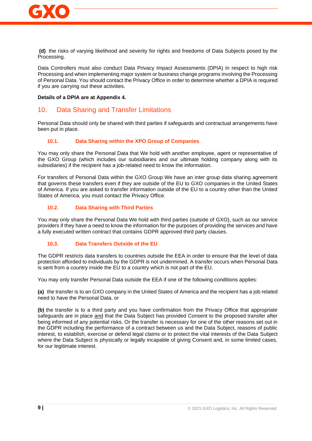

**(d)** the risks of varying likelihood and severity for rights and freedoms of Data Subjects posed by the Processing.

Data Controllers must also conduct Data Privacy Impact Assessments (DPIA) in respect to high risk Processing and when implementing major system or business change programs involving the Processing of Personal Data. You should contact the Privacy Office in order to determine whether a DPIA is required if you are carrying out these activities.

#### **Details of a DPIA are at Appendix 4.**

### 10. Data Sharing and Transfer Limitations

Personal Data should only be shared with third parties if safeguards and contractual arrangements have been put in place.

#### **10.1. Data Sharing within the XPO Group of Companies**

You may only share the Personal Data that We hold with another employee, agent or representative of the GXO Group (which includes our subsidiaries and our ultimate holding company along with its subsidiaries) if the recipient has a job-related need to know the information.

For transfers of Personal Data within the GXO Group We have an inter group data sharing agreement that governs these transfers even if they are outside of the EU to GXO companies in the United States of America. If you are asked to transfer information outside of the EU to a country other than the United States of America, you must contact the Privacy Office.

#### **10.2. Data Sharing with Third Parties**

You may only share the Personal Data We hold with third parties (outside of GXO), such as our service providers if they have a need to know the information for the purposes of providing the services and have a fully executed written contract that contains GDPR approved third party clauses.

#### **10.3. Data Transfers Outside of the EU**

The GDPR restricts data transfers to countries outside the EEA in order to ensure that the level of data protection afforded to individuals by the GDPR is not undermined. A transfer occurs when Personal Data is sent from a country inside the EU to a country which is not part of the EU.

You may only transfer Personal Data outside the EEA if one of the following conditions applies:

**(a)** the transfer is to an GXO company in the United States of America and the recipient has a job related need to have the Personal Data, or

**(b)** the transfer is to a third party and you have confirmation from the Privacy Office that appropriate safeguards are in place and that the Data Subject has provided Consent to the proposed transfer after being informed of any potential risks. Or the transfer is necessary for one of the other reasons set out in the GDPR including the performance of a contract between us and the Data Subject, reasons of public interest, to establish, exercise or defend legal claims or to protect the vital interests of the Data Subject where the Data Subject is physically or legally incapable of giving Consent and, in some limited cases, for our legitimate interest.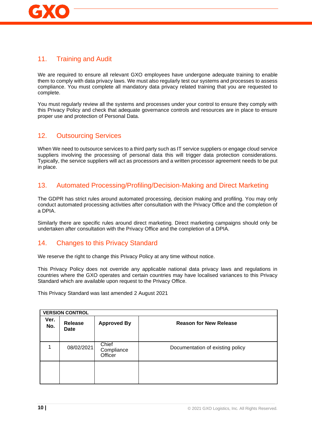

# 11. Training and Audit

We are required to ensure all relevant GXO employees have undergone adequate training to enable them to comply with data privacy laws. We must also regularly test our systems and processes to assess compliance. You must complete all mandatory data privacy related training that you are requested to complete.

You must regularly review all the systems and processes under your control to ensure they comply with this Privacy Policy and check that adequate governance controls and resources are in place to ensure proper use and protection of Personal Data.

# 12. Outsourcing Services

When We need to outsource services to a third party such as IT service suppliers or engage cloud service suppliers involving the processing of personal data this will trigger data protection considerations. Typically, the service suppliers will act as processors and a written processor agreement needs to be put in place.

# 13. Automated Processing/Profiling/Decision-Making and Direct Marketing

The GDPR has strict rules around automated processing, decision making and profiling. You may only conduct automated processing activities after consultation with the Privacy Office and the completion of a DPIA.

Similarly there are specific rules around direct marketing. Direct marketing campaigns should only be undertaken after consultation with the Privacy Office and the completion of a DPIA.

### 14. Changes to this Privacy Standard

We reserve the right to change this Privacy Policy at any time without notice.

This Privacy Policy does not override any applicable national data privacy laws and regulations in countries where the GXO operates and certain countries may have localised variances to this Privacy Standard which are available upon request to the Privacy Office.

This Privacy Standard was last amended 2 August 2021

| <b>VERSION CONTROL</b> |                 |                                |                                  |  |
|------------------------|-----------------|--------------------------------|----------------------------------|--|
| Ver.<br>No.            | Release<br>Date | <b>Approved By</b>             | <b>Reason for New Release</b>    |  |
|                        | 08/02/2021      | Chief<br>Compliance<br>Officer | Documentation of existing policy |  |
|                        |                 |                                |                                  |  |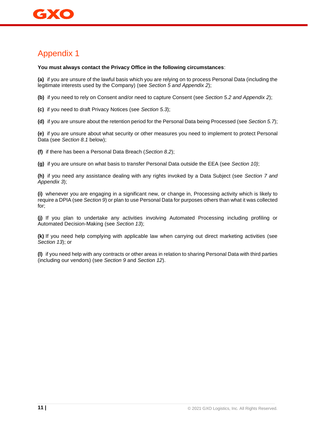**You must always contact the Privacy Office in the following circumstances**:

**(a)** if you are unsure of the lawful basis which you are relying on to process Personal Data (including the legitimate interests used by the Company) (see *Section 5 and Appendix 2*);

**(b)** if you need to rely on Consent and/or need to capture Consent (see *Section 5.2 and Appendix 2*);

**(c)** if you need to draft Privacy Notices (see *Section 5.3*);

**(d)** if you are unsure about the retention period for the Personal Data being Processed (see *Section 5.7*);

**(e)** if you are unsure about what security or other measures you need to implement to protect Personal Data (see *Section 8.1* below);

**(f)** if there has been a Personal Data Breach (*Section 8.2*);

**(g)** if you are unsure on what basis to transfer Personal Data outside the EEA (see *Section 10)*;

**(h)** if you need any assistance dealing with any rights invoked by a Data Subject (see *Section 7 and Appendix 3*);

**(i)** whenever you are engaging in a significant new, or change in, Processing activity which is likely to require a DPIA (see *Section 9*) or plan to use Personal Data for purposes others than what it was collected for;

**(j)** If you plan to undertake any activities involving Automated Processing including profiling or Automated Decision-Making (see *Section 13*);

**(k)** If you need help complying with applicable law when carrying out direct marketing activities (see *Section 13*); or

**(l)** if you need help with any contracts or other areas in relation to sharing Personal Data with third parties (including our vendors) (see *Section 9* and *Section 12*).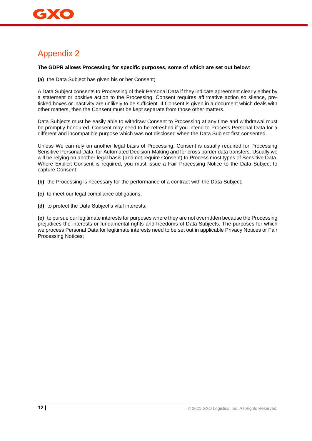#### **The GDPR allows Processing for specific purposes, some of which are set out below**:

**(a)** the Data Subject has given his or her Consent;

A Data Subject consents to Processing of their Personal Data if they indicate agreement clearly either by a statement or positive action to the Processing. Consent requires affirmative action so silence, preticked boxes or inactivity are unlikely to be sufficient. If Consent is given in a document which deals with other matters, then the Consent must be kept separate from those other matters.

Data Subjects must be easily able to withdraw Consent to Processing at any time and withdrawal must be promptly honoured. Consent may need to be refreshed if you intend to Process Personal Data for a different and incompatible purpose which was not disclosed when the Data Subject first consented.

Unless We can rely on another legal basis of Processing, Consent is usually required for Processing Sensitive Personal Data, for Automated Decision-Making and for cross border data transfers. Usually we will be relying on another legal basis (and not require Consent) to Process most types of Sensitive Data. Where Explicit Consent is required, you must issue a Fair Processing Notice to the Data Subject to capture Consent.

**(b)** the Processing is necessary for the performance of a contract with the Data Subject;

**(c)** to meet our legal compliance obligations;

**(d)** to protect the Data Subject's vital interests;

**(e)** to pursue our legitimate interests for purposes where they are not overridden because the Processing prejudices the interests or fundamental rights and freedoms of Data Subjects. The purposes for which we process Personal Data for legitimate interests need to be set out in applicable Privacy Notices or Fair Processing Notices;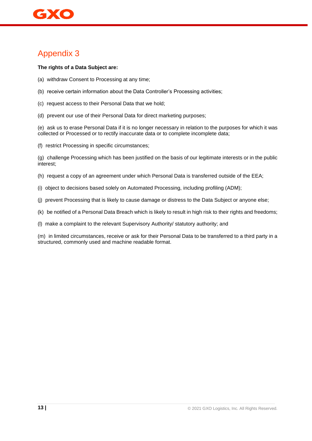#### **The rights of a Data Subject are:**

- (a) withdraw Consent to Processing at any time;
- (b) receive certain information about the Data Controller's Processing activities;
- (c) request access to their Personal Data that we hold;
- (d) prevent our use of their Personal Data for direct marketing purposes;

(e) ask us to erase Personal Data if it is no longer necessary in relation to the purposes for which it was collected or Processed or to rectify inaccurate data or to complete incomplete data;

(f) restrict Processing in specific circumstances;

(g) challenge Processing which has been justified on the basis of our legitimate interests or in the public interest;

- (h) request a copy of an agreement under which Personal Data is transferred outside of the EEA;
- (i) object to decisions based solely on Automated Processing, including profiling (ADM);
- (j) prevent Processing that is likely to cause damage or distress to the Data Subject or anyone else;
- (k) be notified of a Personal Data Breach which is likely to result in high risk to their rights and freedoms;
- (l) make a complaint to the relevant Supervisory Authority/ statutory authority; and

(m) in limited circumstances, receive or ask for their Personal Data to be transferred to a third party in a structured, commonly used and machine readable format.